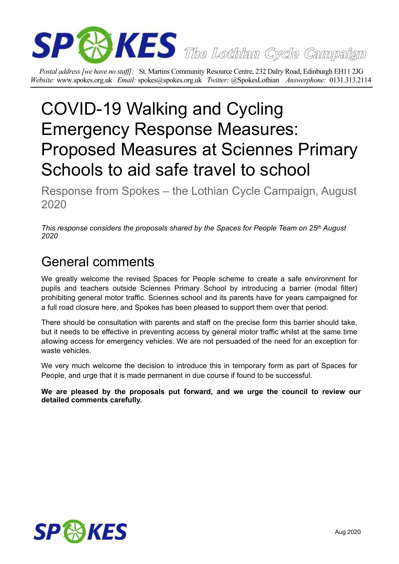

*Postal address [we have no staff]:* St. Martins Community Resource Centre, 232 Dalry Road, Edinburgh EH11 2JG *Website:* www.spokes.org.uk *Email:* spokes@spokes.org.uk *Twitter:* @SpokesLothian *Answerphone:* 0131.313.2114

# COVID-19 Walking and Cycling Emergency Response Measures: Proposed Measures at Sciennes Primary Schools to aid safe travel to school

Response from Spokes – the Lothian Cycle Campaign, August 2020

*This response considers the proposals shared by the Spaces for People Team on 25th August 2020* 

## General comments

We greatly welcome the revised Spaces for People scheme to create a safe environment for pupils and teachers outside Sciennes Primary School by introducing a barrier (modal filter) prohibiting general motor traffic. Sciennes school and its parents have for years campaigned for a full road closure here, and Spokes has been pleased to support them over that period.

There should be consultation with parents and staff on the precise form this barrier should take, but it needs to be effective in preventing access by general motor traffic whilst at the same time allowing access for emergency vehicles. We are not persuaded of the need for an exception for waste vehicles.

We very much welcome the decision to introduce this in temporary form as part of Spaces for People, and urge that it is made permanent in due course if found to be successful.

**We are pleased by the proposals put forward, and we urge the council to review our detailed comments carefully.**